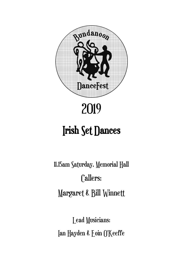

# 2019

## Irish Set Dances

11.15am Saturday, Memorial Hall Callers: Margaret & Bill Winnett

Lead Musicians: Ian Hayden & Eoin O'Keeffe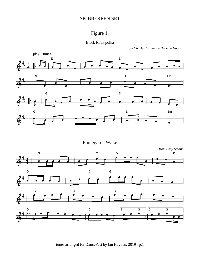#### SKIBBEREEN SET

## Figure 1:

Black Rock polka

*from Charles Cullen, by Dave de Hugard*

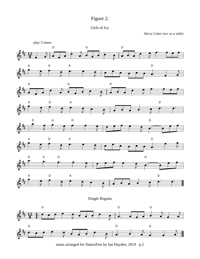



*Harry Cotter (arr as a slide)*



tunes arranged for DanceFest by Ian Hayden, 2019 p.2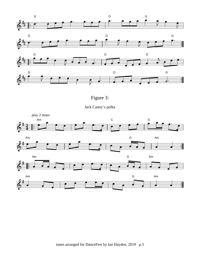





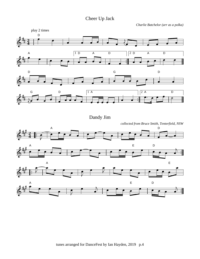Cheer Up Jack

*Charlie Batchelor (arr as a polka)*



Dandy Jim

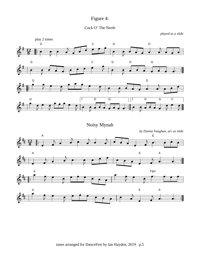



*played as a slide*



Noisy Mynah

*by Donna Vaughan, arr as slide*

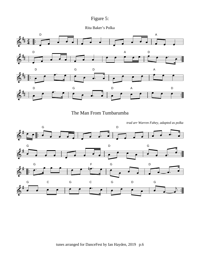

Rita Baker's Polka





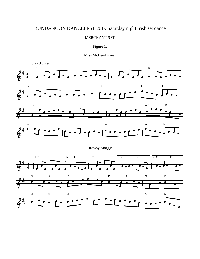## BUNDANOON DANCEFEST 2019 Saturday night Irish set dance

#### MERCHANT SET

#### Figure 1:

#### Miss McLeod's reel

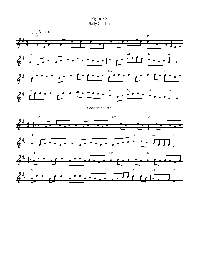

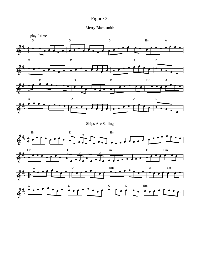## Figure 3:

## Merry Blacksmith







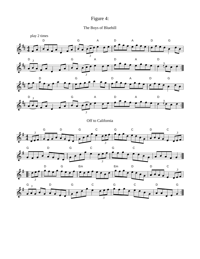## Figure 4:





Off to California